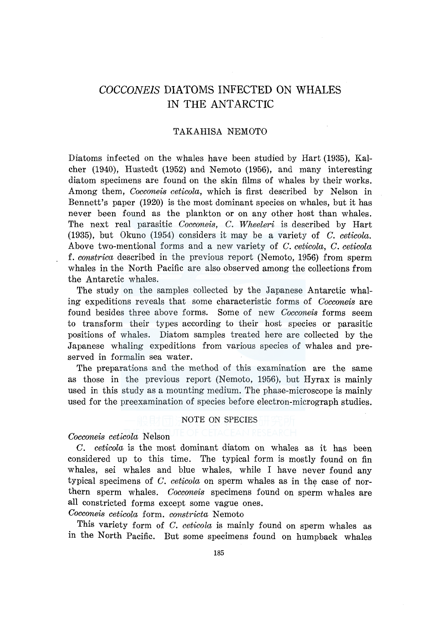# *COCCONEJS* DIATOMS INFECTED ON WHALES IN THE ANT ARCTIC

# TAKAHISA NEMOTO

Diatoms infected on the whales have been studied by Hart (1935), Kalcher (1940), Hustedt (1952) and Nemoto (1956), and many interesting diatom specimens are found on the skin films of whales by their works. Among them, *Cocconeis ceticola,* which is first described by Nelson in Bennett's paper (1920) is the most dominant species on whales, but it has never been found as the plankton or on any other host than whales. The next real parasitic *Cocconeis, C. Wheeleri* is described by Hart (1935), but Okuno (1954) considers it may be a variety of *C. ceticola.*  Above two-mentional forms and a new variety of *C. ceticola, C. ceticola*  f. *constrica* described in the previous report (Nemoto, 1956) from sperm whales in the North Pacific are also observed among the collections from the Antarctic whales.

The study on the samples collected by the Japanese Antarctic whaling expeditions reveals that some characteristic forms of *Cocconeis* are found besides three above forms. Some of new *Cocconeis* forms seem to transform their types according to their host species or parasitic positions of whales. Diatom samples treated here are collected by the Japanese whaling expeditions from various species of whales and preserved in formalin sea water.

The preparations and the method of this examination are the same as those in the previous report (Nemoto, 1956), but Hyrax is mainly used in this study as a mounting medium. The phase-microscope is mainly used for the preexamination of species before electron-micrograph studies.

# NOTE ON SPECIES

*Cocconeis ceticola* Nelson

*C. ceticola* is the most dominant diatom on whales as it has been considered up to this time. The typical form is mostly found on fin whales, sei whales and blue whales, while I have never found any typical specimens of *C. ceticola* on sperm whales as in the case of northern sperm whales. *Cocconeis* specimens found on sperm whales are all constricted forms except some vague ones.

*Cocconeis ceticola* form. *constricta* Nemoto

This variety form of *C. ceticola* is mainly found on sperm whales as in the North Pacific. But some specimens found on humpback whales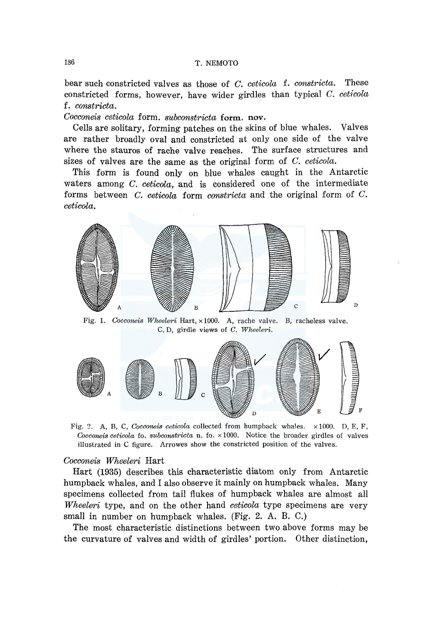# 186 T. NEMOTO

bear such constricted valves as those of *C. ceticola* f. *constricta.* These constricted forms, however, have wider girdles than typical *C. ceticola* f. *constricta.* 

# *Cocconeis ceticola* form. *subconstricta* **form. nov.**

Cells are solitary, forming patches on the skins of blue whales. Valves are rather broadly oval and constricted at only one side of the valve where the stauros of rache valve reaches. The surface structures and sizes of valves are the same as the original form of *C. ceticola.* 

This form is found only on blue whales caught in the Antarctic waters among *C. ceticola,* and is considered one of the intermediate forms between *C. ceticola* form *constricta* and the original form of *C. ceticola.* 



Fig. 1. *Cocconeis Wheeleri* Hart, x 1000. A, rache valve. B, racheless valve. C, D, girdle views of *C. Wheeleri.* 



Fig. 2. A, B, C, *Cocconeis ceticola* collected from humpback whales.  $\times 1000$ . D, E, F, *Cocconeis ceticola* fo. *svhconstricta* n. fo. x 1000. Notice the broader girdles of valves illustrated in C figure. Arrowes show the constricted position of the valves.

## *Cocconeis Wheeleri* Hart

Hart (1935) describes this characteristic diatom only from Antarctic humpback whales, and I also observe it mainly on humpback whales. Many specimens collected from tail flukes of humpback whales are almost all *Wheeleri* type, and on the other hand *ceticola* type specimens are very small in number on humpback whales. (Fig. 2. A. B. C.)

The most characteristic distinctions between two above forms may be the curvature of valves and width of girdles' portion. Other distinction,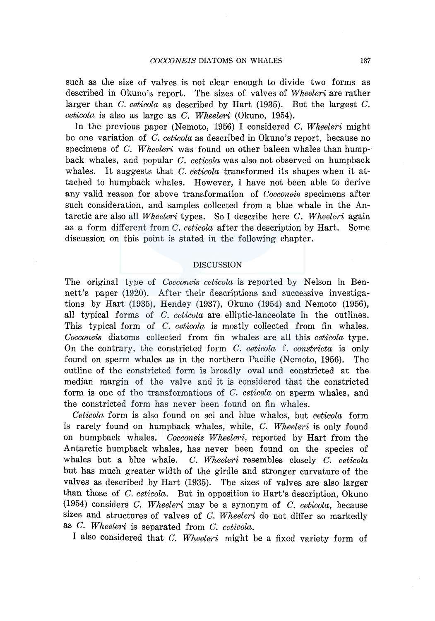such as the size of valves is not clear enough to divide two forms as described in Okuno's report. The sizes of valves of *Wheeleri* are rather larger than *C. ceticola* as described by Hart (1935). But the largest *C. ceticola* is also as large as *C. Wheeleri* (Okuno, 1954).

In the previous paper (Nemoto, 1956) I considered *C. Wkeeleri* might be one variation of *C. ceticola* as described in Okuno's report, because no specimens of *C. Wkeeleri* was found on other baleen whales than humpback whales, and popular *C. ceticola* was also not observed on humpback whales. It suggests that *C. ceticola* transformed its shapes when it attached to humpback whales. However, I have not been able to derive any valid reason for above transformation of *Cocconeis* specimens after such consideration, and samples collected from a blue whale in the Antarctic are also all *Wheeleri* types. So I describe here C. *Wheeleri* again as a form different from C. *ceticola* after the description by Hart. Some discussion on this point is stated in the following chapter.

#### DISCUSSION

The original type of *Cocconeis ceticola* is reported by Nelson in Bennett's paper (1920). After their descriptions and successive investigations by Hart (1935), Hendey (1937), Okuno (1954) and Nemoto (1956), all typical forms of *C. ceticola* are elliptic-lanceolate in the outlines. This typical form of *C. ceticola* is mostly collected from fin whales. *Cocconeis* diatoms collected from fin whales are all this *ceticola* type. On the contrary, the constricted form *C. ceticola* f. *constricta* is only found on sperm whales as in the northern Pacific (Nemoto, 1956). The outline of the constricted form is broadly oval and constricted at the median margin of the valve and it is considered that the constricted form is one of the transformations of *C. ceticola* on sperm whales, and the constricted form has never been found on fin whales.

*Ceticola* form is also found on sei and blue whales, but *ceticola* form is rarely found on humpback whales, while, *C. Wheeleri* is only found on humpback whales. *Cocconeis Wheeleri,* reported by Hart from the Antarctic humpback whales, has never been found on the species of whales but a blue whale. C. *Wheeleri* resembles closely *C. ceticola*  but has much greater width of the girdle and stronger curvature of the valves as described by Hart (1935). The sizes of valves are also larger than those of C. *ceticola.* But in opposition to Hart's description, Okuno (1954) considers *C. Wkeeleri* may be a synonym of *C. ceticola,* because sizes and structures of valves of C. *Wheeleri* do not differ so markedly as *C. Wkeeleri* is separated from *C. ceticola.* 

I also considered that C. *Wheeleri* might be a fixed variety form of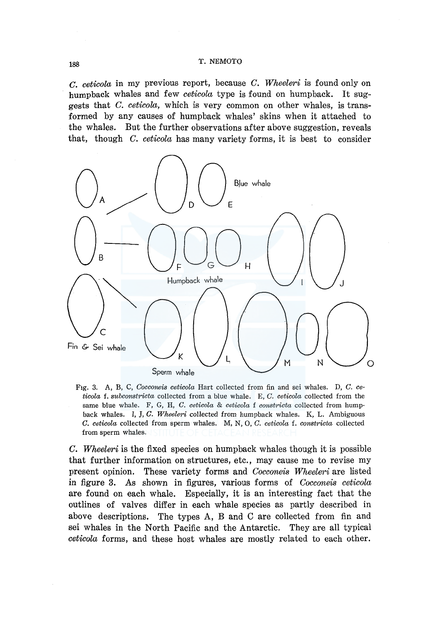# 188 T. NEMOTO

*c. ceticola* in my previous report, because *C. Wheeleri* is found only on humpback whales and few *ceticola* type is found on humpback. It suggests that *C. cetico'la,* which is very common on other whales, is transformed by any causes of humpback whales' skins when it attached to the whales. But the further observations after above suggestion, reveals that, though *C. ceticola* has many variety forms, it is best to consider



Fig. 3. A, B, C, *Cocconeis ceticola* Hart collected from fin and sei whales. D, *C. ceticola* f. *subconstricta* collected from a blue whale. E, *C. ceticola* collected from the same blue whale. F, G, H, *C. ceticola* & *ceticola* f *constricta* collected from humpback whales. I, J, *C. Wheeleri* collected from humpback whales. K, L. Ambiguous *C. ceticola* collected from sperm whales. M, N, 0, *C. ceticola* f. *constricta* collected from sperm whales.

*C. Wheeleri* is the fixed species on humpback whales though it is possible that further information on structures, etc., may cause me to revise my present opinion. These variety forms and *Cocconeis Wheeleri* are listed in figure 3. As shown in figures, various forms of *Cocconeis ceticola*  are found on each whale. Especially, it is an interesting fact that the outlines of valves differ in each whale species as partly described in above descriptions. The types A, B and C are collected from fin and sei whales in the North Pacific and the Antarctic. They are all typical *ceticola* forms, and these host whales are mostly related to each other.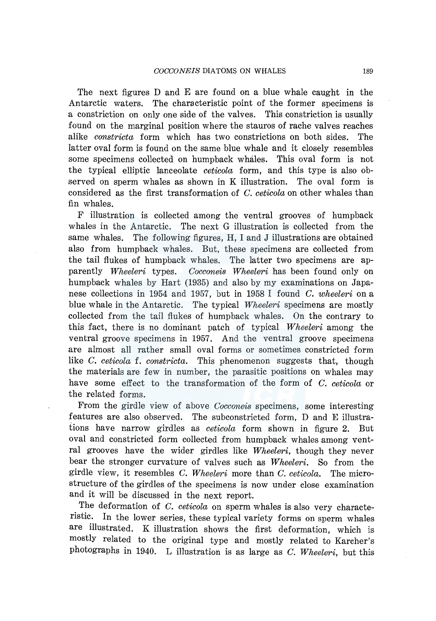The next figures D and E are found on a blue whale caught in the Antarctic waters. The characteristic point of the former specimens is a constriction on only one side of the valves. This constriction is usually found on the marginal position where the stauros of rache valves reaches alike *constricta* form which has two constrictions on both sides. The latter oval form is found on the same blue whale and it closely resembles some specimens collected on humpback whales. This oval form is not the typical elliptic lanceolate *ceticola* form, and this type is also observed on sperm whales as shown in K illustration. The oval form is considered as the first transformation of *C. ceticola* on other whales than fin whales.

F illustration is collected among the ventral grooves of humpback whales in the Antarctic. The next G illustration is collected from the same whales. The following figures, H, I and J illustrations are obtained also from humpback whales. But, these specimens are collected from the tail flukes of humpback whales. The latter two specimens are apparently *Wheeleri* types. *Cocconeis Wheeleri* has been found only on humpback whales by Hart (1935) and also by my examinations on Japanese collections in 1954 and 1957, but in 1958 I found *C. wheeleri* on a blue whale in the Antarctic. The typical *Wheeleri* specimens are mostly collected from the tail flukes of humpback whales. On the contrary to this fact, there is no dominant patch of typical *Wheeleri* among the ventral groove specimens in 1957. And the ventral groove specimens are almost all rather small oval forms or sometimes constricted form like *C. ceticola* f. *constricta.* This phenomenon suggests that, though the materials are few in number, the parasitic positions on whales may have some effect to the transformation of the form of *C. ceticola* or the related forms.

From the girdle view of above *Cocconeis* specimens, some interesting features are also observed. The subconstricted form, D and E illustra- ·tions have narrow girdles as *ceticola* form shown in figure 2. But oval and constricted form collected from humpback whales among ventral grooves have the wider girdles like *Wheeleri,* though they never bear the stronger curvature of valves such as *Wheeleri.* So from the girdle view, it resembles *C. Wheeleri* more than *C. ceticola.* The microstructure of the girdles of the specimens is now under close examination and it will be discussed in the next report.

The deformation of *C. ceticola* on sperm whales is also very characteristic. In the lower series, these typical variety forms on sperm whales are illustrated. K illustration shows the first deformation, which is mostly related to the original type and mostly related to Karcher's photographs in 1940. L illustration is as large as *C. Wheeleri,* but this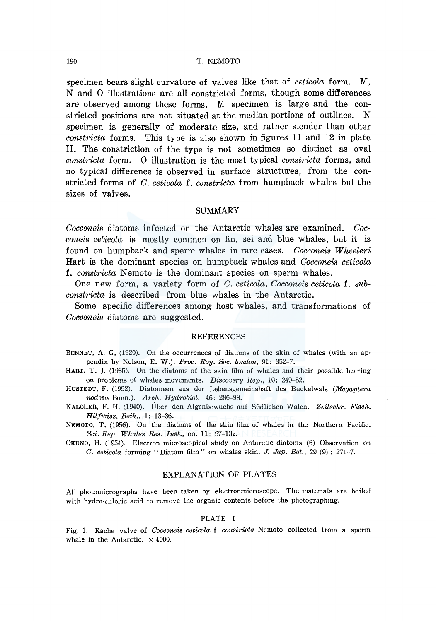specimen bears slight curvature of valves like that of *ceticola* form. M, N and 0 illustrations are all constricted forms, though some differences are observed among these forms. M specimen is large and the constricted positions are not situated at the median portions of outlines. N specimen is generally of moderate size, and rather slender than other *constricta* forms. This type is also shown in figures 11 and 12 in plate II. The constriction of the type is not sometimes so distinct as oval *constricta* form. 0 illustration is the most typical *constricta* forms, and no typical difference is observed in surface structures, from the constricted forms of *C. ceticola* f. *constricta* from humpback whales but the sizes of valves.

#### SUMMARY

*Cocconeis* diatoms infected on the Antarctic whales are examined. *Cocconeis ceticola* is mostly common on fin, sei and blue whales, but it is found on humpback and sperm whales in rare cases. *Cocconeis Wheeleri*  Hart is the dominant species on humpback whales and *Cocconeis ceticola*  f. *constricta* Nemoto is the dominant species on sperm whales.

One new form, a variety form of *C. ceticola, Cocconeis ceticola* f. *subconstricta* is described from blue whales in the Antarctic.

Some specific differences among host whales, and transformations of *Cocconeis* diatoms are suggested.

# REFERENCES

BENNET, A. G, (1920). On the occurrences of diatoms of the skin of whales (with an ap· pendix by Nelson, E. W.). *Proc. Roy. Soc. london,* 91: 352-7.

HART. T. J. (1935). On the diatoms of the skin film of whales and their possible bearing on problems of whales movements. *Discovery Rep.,* 10: 249-82.

HUSTEDT, F. (1952). Diatomeen aus der Lebensgemeinshaft des Buckelwals *(Megaptera nodosa* Bonn.). *Arch. Hydrobiol.,* 46: 286-98.

KALCHER, F. H. (1940). Uber den Algenbewuchs auf Siidlichen Walen. *Zeitschr. Fisch. Hilfwiss. Beih.,* 1: 13-36.

NEMOTO, T. (1956). On the diatoms of the skin film of whales in the Northern Pacific. *Sci. Rep. Whales Res. Inst.,* no. 11: 97-132.

OKUNO, H. (1954). Electron microscopical study on Antarctic diatoms (6) Observation on *C. ceticola* forming "Diatom film" on whales skin. *J. Jap. Bot.,* 29 (9) : 271-7.

#### EXPLANATION OF PLATES

All photomicrographs have been taken by electronmicroscope. The materials are boiled with hydro-chloric acid to remove the organic contents before the photographing.

## PLATE I

Fig. 1. Rache valve of *Cocconeis ceticola* f. *constricta* Nemoto collected from a sperm whale in the Antarctic.  $\times$  4000.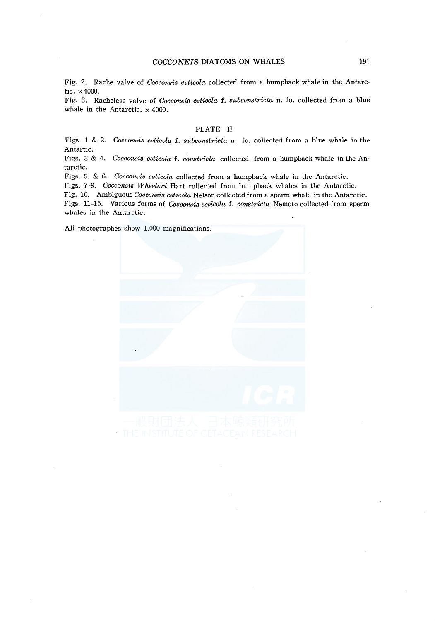Fig. 2. Rache valve of *Cocconeis ceticola* collected from a humpback whale in the Antarctic. x 4000.

Fig. 3. Racheless valve of *Cocconeis ceticola* f. *subconstricta* n. fo. collected from a blue whale in the Antarctic.  $\times$  4000.

PLATE II

Figs. 1 & 2. *Cocconeis ceticola* f. *subconstricta* n. fo. collected from a blue whale in the Antartic.

Figs. 3 & 4. *Cocconeis ceticola* f. *constricta* collected from a humpback whale in the Antarctic.

Figs. 5. & 6. *Cocconeis ceticola* collected from a humpback whale in the Antarctic.

Figs. 7-9. *Cocconeis Wheeleri* Hart collected from humpback whales in the Antarctic.

Fig. 10. Ambiguous *Cocconeis ceticola* Nelson collected from a sperm whale in the Antarctic. Figs. 11-15. Various forms of *Cocconeis ceticola* f. *constricta* Nemoto collected from sperm whales in the Antarctic.

All photographes show 1,000 magnifications.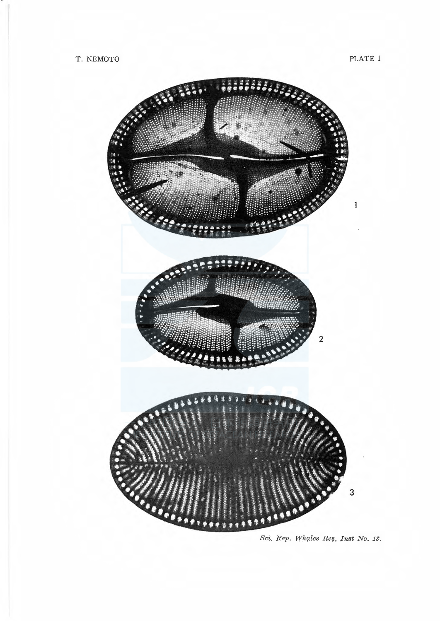

Sci. Rep. Whales Res, Inst No. 13.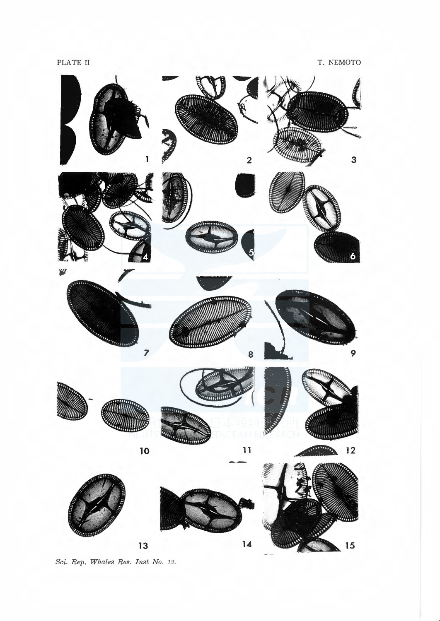PLATE II

T. NEMOTO



Sci. Rep. Whales Res. Inst No. 13.